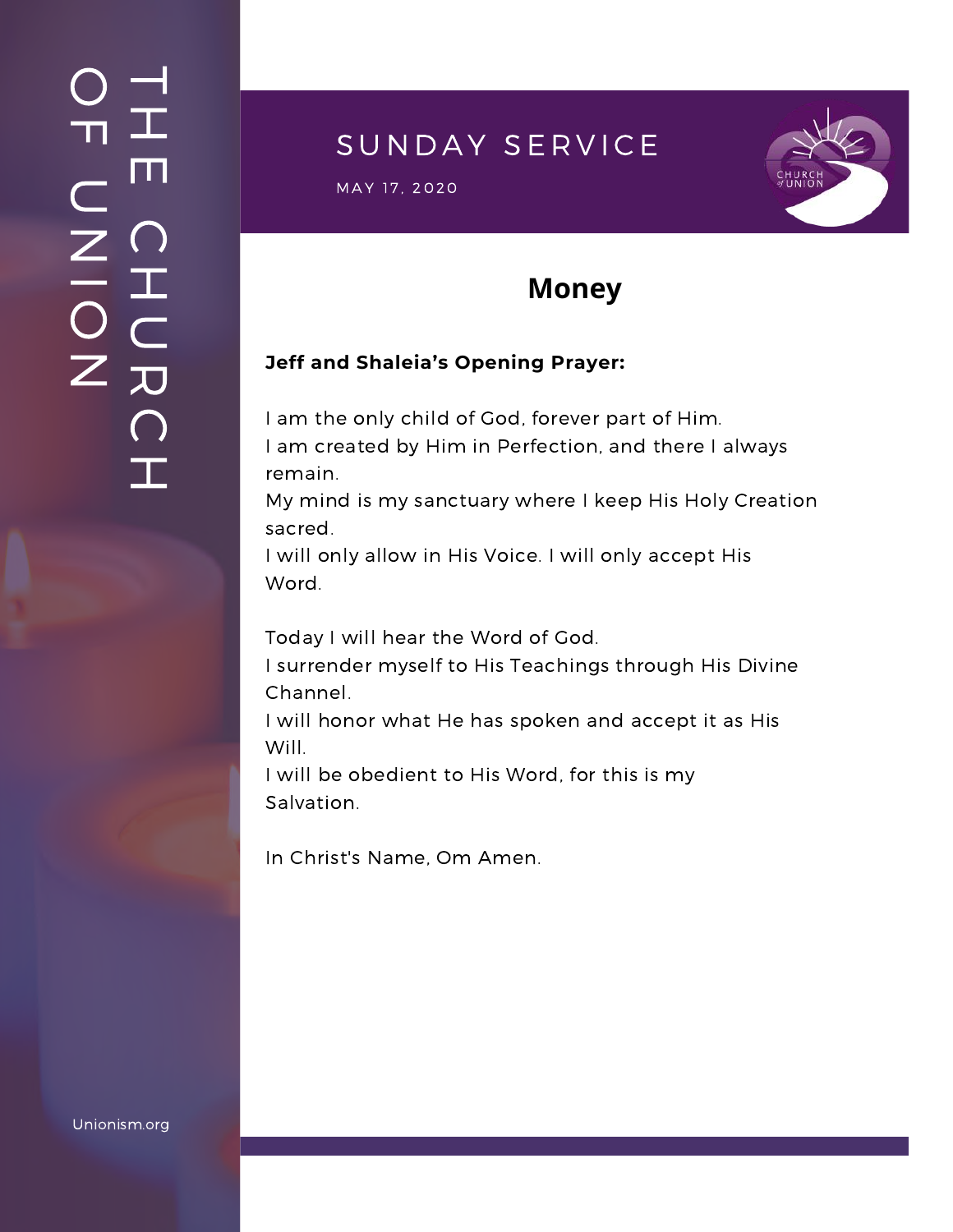### $\overline{\phantom{a}}$ H m.  $\bigcap$ H  $\subset$ 刀  $\bigcap$  $\mathbf{I}$  .  $\bigcirc$  $\blacksquare$  $\subset$  $\mathsf{Z}^+$ <u>In the Second Contract of the Second Contract of the International Second Contract of the International Second Contract of the International Second Contract of the International Second Contract of the International Second</u>  $\bigcirc$  $\mathsf{Z}^+$

## SUNDAY SERVICE

MAY 17, 2020<br>Manazarta



## **Money**

#### **Jeff and Shaleia's Opening Prayer:**

I am the only child of God, forever part of Him. I am created by Him in Perfection, and there I always remain.

My mind is my sanctuary where I keep His Holy Creation sacred.

I will only allow in His Voice. I will only accept His Word.

Today I will hear the Word of God.

I surrender myself to His Teachings through His Divine Channel.

I will honor what He has spoken and accept it as His Will.

I will be obedient to His Word, for this is my Salvation.

In Christ's Name, Om Amen.